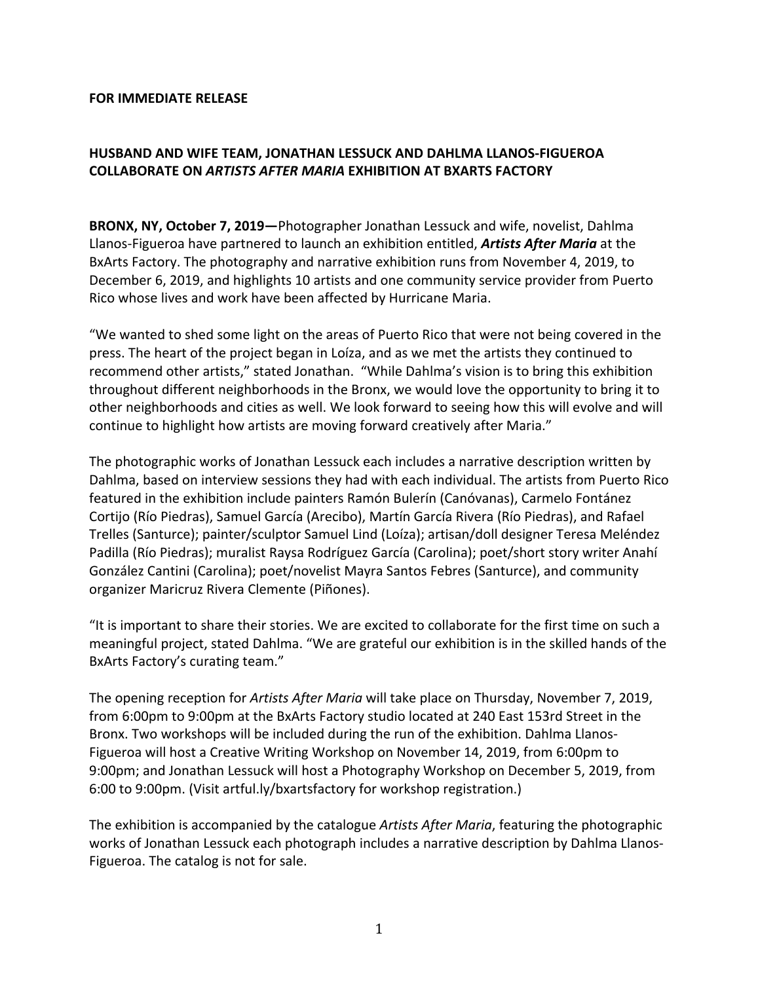## **FOR IMMEDIATE RELEASE**

# **HUSBAND AND WIFE TEAM, JONATHAN LESSUCK AND DAHLMA LLANOS-FIGUEROA COLLABORATE ON** *ARTISTS AFTER MARIA* **EXHIBITION AT BXARTS FACTORY**

**BRONX, NY, October 7, 2019**—Photographer Jonathan Lessuck and wife, novelist, Dahlma Llanos-Figueroa have partnered to launch an exhibition entitled, **Artists After Maria** at the BxArts Factory. The photography and narrative exhibition runs from November 4, 2019, to December 6, 2019, and highlights 10 artists and one community service provider from Puerto Rico whose lives and work have been affected by Hurricane Maria.

"We wanted to shed some light on the areas of Puerto Rico that were not being covered in the press. The heart of the project began in Loíza, and as we met the artists they continued to recommend other artists," stated Jonathan. "While Dahlma's vision is to bring this exhibition throughout different neighborhoods in the Bronx, we would love the opportunity to bring it to other neighborhoods and cities as well. We look forward to seeing how this will evolve and will continue to highlight how artists are moving forward creatively after Maria."

The photographic works of Jonathan Lessuck each includes a narrative description written by Dahlma, based on interview sessions they had with each individual. The artists from Puerto Rico featured in the exhibition include painters Ramón Bulerín (Canóvanas), Carmelo Fontánez Cortijo (Río Piedras), Samuel García (Arecibo), Martín García Rivera (Río Piedras), and Rafael Trelles (Santurce); painter/sculptor Samuel Lind (Loíza); artisan/doll designer Teresa Meléndez Padilla (Río Piedras); muralist Raysa Rodríguez García (Carolina); poet/short story writer Anahí González Cantini (Carolina); poet/novelist Mayra Santos Febres (Santurce), and community organizer Maricruz Rivera Clemente (Piñones).

"It is important to share their stories. We are excited to collaborate for the first time on such a meaningful project, stated Dahlma. "We are grateful our exhibition is in the skilled hands of the BxArts Factory's curating team."

The opening reception for *Artists After Maria* will take place on Thursday, November 7, 2019, from 6:00pm to 9:00pm at the BxArts Factory studio located at 240 East 153rd Street in the Bronx. Two workshops will be included during the run of the exhibition. Dahlma Llanos-Figueroa will host a Creative Writing Workshop on November 14, 2019, from 6:00pm to 9:00pm; and Jonathan Lessuck will host a Photography Workshop on December 5, 2019, from 6:00 to 9:00pm. (Visit artful.ly/bxartsfactory for workshop registration.)

The exhibition is accompanied by the catalogue *Artists After Maria*, featuring the photographic works of Jonathan Lessuck each photograph includes a narrative description by Dahlma Llanos-Figueroa. The catalog is not for sale.